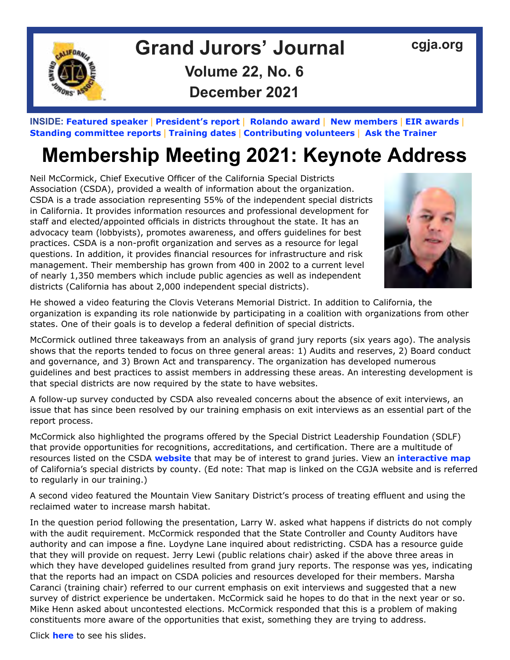

## Grand Jurors' Journal [cgja.org](http://cgja.org) **Volume 22, No. 6 December 2021**

**INSIDE: [Featured speaker](#page-1-0) | President's report | [Rolando award](#page-2-0) | [New members](#page-2-1) | [EIR awards](#page-3-0) | [Standing committee reports](#page-6-0) | [Training dates](#page-11-0) | [Contributing volunteers](#page-12-0) | [Ask the Trainer](#page-14-0)**

# **Membership Meeting 2021: Keynote Address**

Neil McCormick, Chief Executive Officer of the California Special Districts Association (CSDA), provided a wealth of information about the organization. CSDA is a trade association representing 55% of the independent special districts in California. It provides information resources and professional development for staff and elected/appointed officials in districts throughout the state. It has an advocacy team (lobbyists), promotes awareness, and offers guidelines for best practices. CSDA is a non-profit organization and serves as a resource for legal questions. In addition, it provides financial resources for infrastructure and risk management. Their membership has grown from 400 in 2002 to a current level of nearly 1,350 members which include public agencies as well as independent districts (California has about 2,000 independent special districts).



He showed a video featuring the Clovis Veterans Memorial District. In addition to California, the organization is expanding its role nationwide by participating in a coalition with organizations from other states. One of their goals is to develop a federal definition of special districts.

McCormick outlined three takeaways from an analysis of grand jury reports (six years ago). The analysis shows that the reports tended to focus on three general areas: 1) Audits and reserves, 2) Board conduct and governance, and 3) Brown Act and transparency. The organization has developed numerous guidelines and best practices to assist members in addressing these areas. An interesting development is that special districts are now required by the state to have websites.

A follow-up survey conducted by CSDA also revealed concerns about the absence of exit interviews, an issue that has since been resolved by our training emphasis on exit interviews as an essential part of the report process.

McCormick also highlighted the programs offered by the Special District Leadership Foundation (SDLF) that provide opportunities for recognitions, accreditations, and certification. There are a multitude of resources listed on the CSDA **[website](https://csda.net/home)** that may be of interest to grand juries. View an **[interactive map](https://mydashgis.com/CSDA/map)** of California's special districts by county. (Ed note: That map is linked on the CGJA website and is referred to regularly in our training.)

A second video featured the Mountain View Sanitary District's process of treating effluent and using the reclaimed water to increase marsh habitat.

In the question period following the presentation, Larry W. asked what happens if districts do not comply with the audit requirement. McCormick responded that the State Controller and County Auditors have authority and can impose a fine. Loydyne Lane inquired about redistricting. CSDA has a resource guide that they will provide on request. Jerry Lewi (public relations chair) asked if the above three areas in which they have developed guidelines resulted from grand jury reports. The response was yes, indicating that the reports had an impact on CSDA policies and resources developed for their members. Marsha Caranci (training chair) referred to our current emphasis on exit interviews and suggested that a new survey of district experience be undertaken. McCormick said he hopes to do that in the next year or so. Mike Henn asked about uncontested elections. McCormick responded that this is a problem of making constituents more aware of the opportunities that exist, something they are trying to address.

Click **[here](https://www.dropbox.com/s/l9fakpftekwuck2/CSDAs%20Grand%20Juries%20%26%20Special%20Districts%2010-25-21.pdf?dl=0)** to see his slides.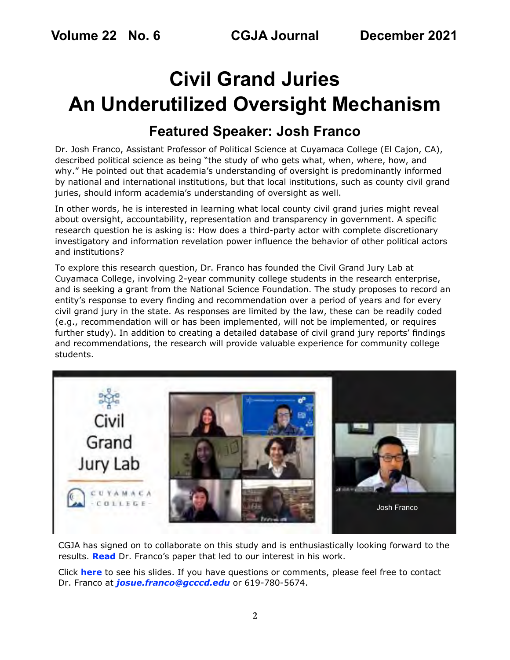# **Civil Grand Juries An Underutilized Oversight Mechanism**

## <span id="page-1-0"></span>**Featured Speaker: Josh Franco**

Dr. Josh Franco, Assistant Professor of Political Science at Cuyamaca College (El Cajon, CA), described political science as being "the study of who gets what, when, where, how, and why." He pointed out that academia's understanding of oversight is predominantly informed by national and international institutions, but that local institutions, such as county civil grand juries, should inform academia's understanding of oversight as well.

In other words, he is interested in learning what local county civil grand juries might reveal about oversight, accountability, representation and transparency in government. A specific research question he is asking is: How does a third-party actor with complete discretionary investigatory and information revelation power influence the behavior of other political actors and institutions?

To explore this research question, Dr. Franco has founded the Civil Grand Jury Lab at Cuyamaca College, involving 2-year community college students in the research enterprise, and is seeking a grant from the National Science Foundation. The study proposes to record an entity's response to every finding and recommendation over a period of years and for every civil grand jury in the state. As responses are limited by the law, these can be readily coded (e.g., recommendation will or has been implemented, will not be implemented, or requires further study). In addition to creating a detailed database of civil grand jury reports' findings and recommendations, the research will provide valuable experience for community college students.



CGJA has signed on to collaborate on this study and is enthusiastically looking forward to the results. **[Read](https://preprints.apsanet.org/engage/api-gateway/apsa/assets/orp/resource/item/5f4a01c887665500126a6f23/original/quasi-judicial-oversight-of-legislative-and-executive-branches-at-the-local-level.pdf)** Dr. Franco's paper that led to our interest in his work.

Click **[here](https://www.dropbox.com/scl/fi/pfo7y93rpnha1de148yjw/2021-10-25-CGJA-Civil-Grand-Juries-4.pptx?dl=0&rlkey=frvorb9jpdurm37bxo1gcov5h)** to see his slides. If you have questions or comments, please feel free to contact Dr. Franco at *[josue.franco@gcccd.edu](mailto:josue.franco%40gcccd.edu?subject=CGJA%20talk)* or 619-780-5674.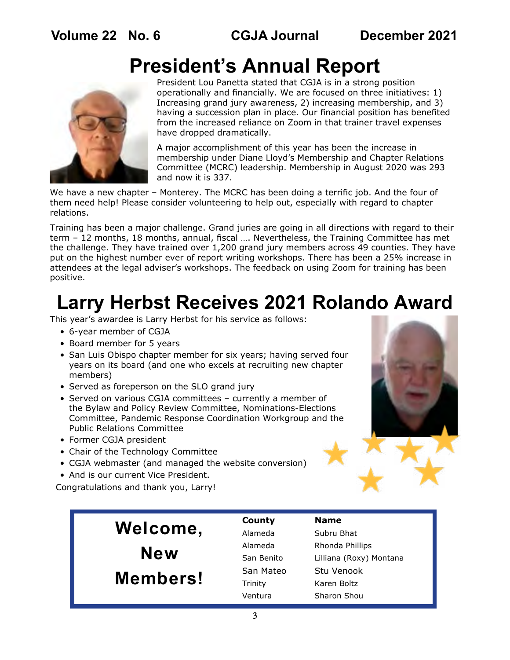# **President's Annual Report**



President Lou Panetta stated that CGJA is in a strong position operationally and financially. We are focused on three initiatives: 1) Increasing grand jury awareness, 2) increasing membership, and 3) having a succession plan in place. Our financial position has benefited from the increased reliance on Zoom in that trainer travel expenses have dropped dramatically.

A major accomplishment of this year has been the increase in membership under Diane Lloyd's Membership and Chapter Relations Committee (MCRC) leadership. Membership in August 2020 was 293 and now it is 337.

We have a new chapter – Monterey. The MCRC has been doing a terrific job. And the four of them need help! Please consider volunteering to help out, especially with regard to chapter relations.

Training has been a major challenge. Grand juries are going in all directions with regard to their term – 12 months, 18 months, annual, fiscal …. Nevertheless, the Training Committee has met the challenge. They have trained over 1,200 grand jury members across 49 counties. They have put on the highest number ever of report writing workshops. There has been a 25% increase in attendees at the legal adviser's workshops. The feedback on using Zoom for training has been positive.

# <span id="page-2-0"></span>**Larry Herbst Receives 2021 Rolando Award**

This year's awardee is Larry Herbst for his service as follows:

- 6-year member of CGJA
- Board member for 5 years
- San Luis Obispo chapter member for six years; having served four years on its board (and one who excels at recruiting new chapter members)
- Served as foreperson on the SLO grand jury
- Served on various CGJA committees currently a member of the Bylaw and Policy Review Committee, Nominations-Elections Committee, Pandemic Response Coordination Workgroup and the Public Relations Committee
- Former CGJA president
- Chair of the Technology Committee
- CGJA webmaster (and managed the website conversion)
- And is our current Vice President.

Congratulations and thank you, Larry!

<span id="page-2-1"></span>

|            | County     | <b>Name</b>             |
|------------|------------|-------------------------|
| Welcome,   | Alameda    | Subru Bhat              |
|            | Alameda    | Rhonda Phillips         |
| <b>New</b> | San Benito | Lilliana (Roxy) Montana |
| Members!   | San Mateo  | Stu Venook              |
|            | Trinity    | Karen Boltz             |
|            | Ventura    | Sharon Shou             |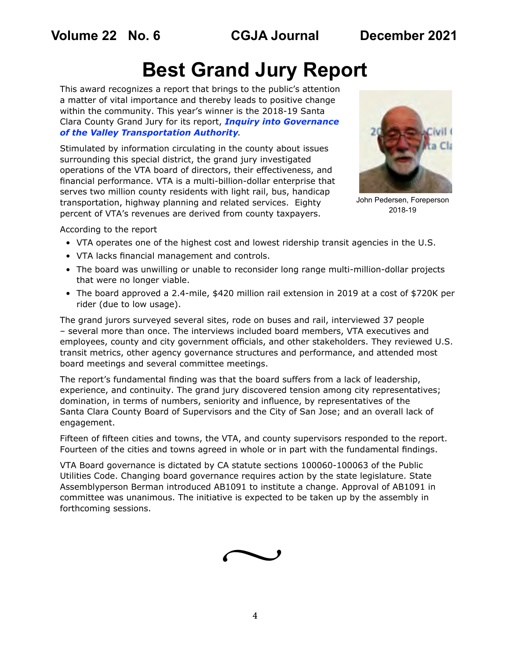# <span id="page-3-0"></span>**Best Grand Jury Report**

This award recognizes a report that brings to the public's attention a matter of vital importance and thereby leads to positive change within the community. This year's winner is the 2018-19 Santa Clara County Grand Jury for its report, *[Inquiry into Governance](https://www.scscourt.org/court_divisions/civil/cgj/2019/CGJ%20VTA%20Final%20Report%20-%2006.18.19.pdf)  [of the Valley Transportation Authority](https://www.scscourt.org/court_divisions/civil/cgj/2019/CGJ%20VTA%20Final%20Report%20-%2006.18.19.pdf)*.

Stimulated by information circulating in the county about issues surrounding this special district, the grand jury investigated operations of the VTA board of directors, their effectiveness, and financial performance. VTA is a multi-billion-dollar enterprise that serves two million county residents with light rail, bus, handicap transportation, highway planning and related services. Eighty percent of VTA's revenues are derived from county taxpayers.



John Pedersen, Foreperson 2018-19

According to the report

- VTA operates one of the highest cost and lowest ridership transit agencies in the U.S.
- VTA lacks financial management and controls.
- The board was unwilling or unable to reconsider long range multi-million-dollar projects that were no longer viable.
- The board approved a 2.4-mile, \$420 million rail extension in 2019 at a cost of \$720K per rider (due to low usage).

The grand jurors surveyed several sites, rode on buses and rail, interviewed 37 people – several more than once. The interviews included board members, VTA executives and employees, county and city government officials, and other stakeholders. They reviewed U.S. transit metrics, other agency governance structures and performance, and attended most board meetings and several committee meetings.

The report's fundamental finding was that the board suffers from a lack of leadership, experience, and continuity. The grand jury discovered tension among city representatives; domination, in terms of numbers, seniority and influence, by representatives of the Santa Clara County Board of Supervisors and the City of San Jose; and an overall lack of engagement.

Fifteen of fifteen cities and towns, the VTA, and county supervisors responded to the report. Fourteen of the cities and towns agreed in whole or in part with the fundamental findings.

VTA Board governance is dictated by CA statute sections 100060-100063 of the Public Utilities Code. Changing board governance requires action by the state legislature. State Assemblyperson Berman introduced AB1091 to institute a change. Approval of AB1091 in committee was unanimous. The initiative is expected to be taken up by the assembly in forthcoming sessions.

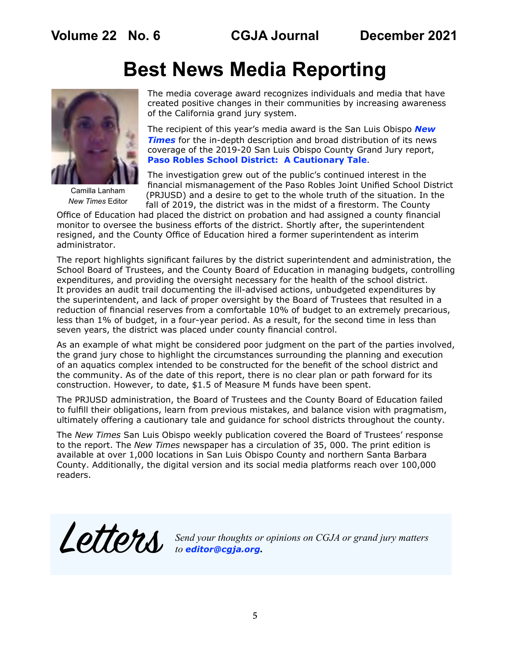# **Best News Media Reporting**



Camilla Lanham *New Times* Editor

The media coverage award recognizes individuals and media that have created positive changes in their communities by increasing awareness of the California grand jury system.

The recipient of this year's media award is the San Luis Obispo *[New](https://www.newtimesslo.com/)*  **[Times](https://www.newtimesslo.com/)** for the in-depth description and broad distribution of its news coverage of the 2019-20 San Luis Obispo County Grand Jury report, **[Paso Robles School District: A Cautionary Tale](https://drive.google.com/drive/folders/174NsLyF53ScXYjYoahGrlLL_vAbEps4f)**.

The investigation grew out of the public's continued interest in the financial mismanagement of the Paso Robles Joint Unified School District (PRJUSD) and a desire to get to the whole truth of the situation. In the fall of 2019, the district was in the midst of a firestorm. The County

Office of Education had placed the district on probation and had assigned a county financial monitor to oversee the business efforts of the district. Shortly after, the superintendent resigned, and the County Office of Education hired a former superintendent as interim administrator.

The report highlights significant failures by the district superintendent and administration, the School Board of Trustees, and the County Board of Education in managing budgets, controlling expenditures, and providing the oversight necessary for the health of the school district. It provides an audit trail documenting the ill-advised actions, unbudgeted expenditures by the superintendent, and lack of proper oversight by the Board of Trustees that resulted in a reduction of financial reserves from a comfortable 10% of budget to an extremely precarious, less than 1% of budget, in a four-year period. As a result, for the second time in less than seven years, the district was placed under county financial control.

As an example of what might be considered poor judgment on the part of the parties involved, the grand jury chose to highlight the circumstances surrounding the planning and execution of an aquatics complex intended to be constructed for the benefit of the school district and the community. As of the date of this report, there is no clear plan or path forward for its construction. However, to date, \$1.5 of Measure M funds have been spent.

The PRJUSD administration, the Board of Trustees and the County Board of Education failed to fulfill their obligations, learn from previous mistakes, and balance vision with pragmatism, ultimately offering a cautionary tale and guidance for school districts throughout the county.

The *New Times* San Luis Obispo weekly publication covered the Board of Trustees' response to the report. The *New Times* newspaper has a circulation of 35, 000. The print edition is available at over 1,000 locations in San Luis Obispo County and northern Santa Barbara County. Additionally, the digital version and its social media platforms reach over 100,000 readers.

Letters *Send your thoughts or opinions on CGJA or grand jury matters to editor@cgja.org***.**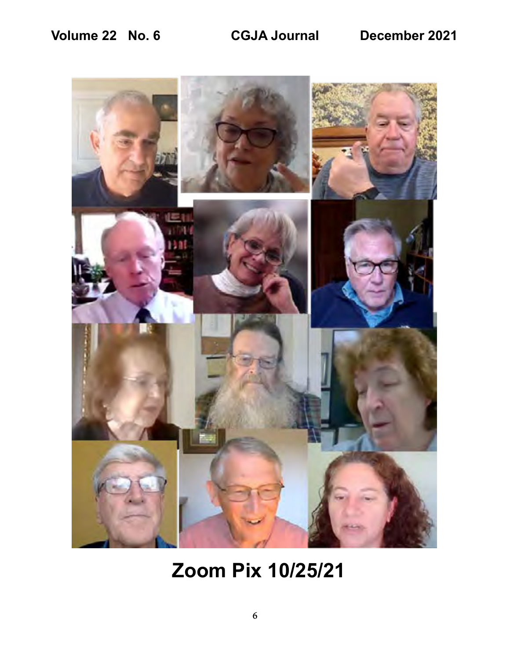

**Zoom Pix 10/25/21**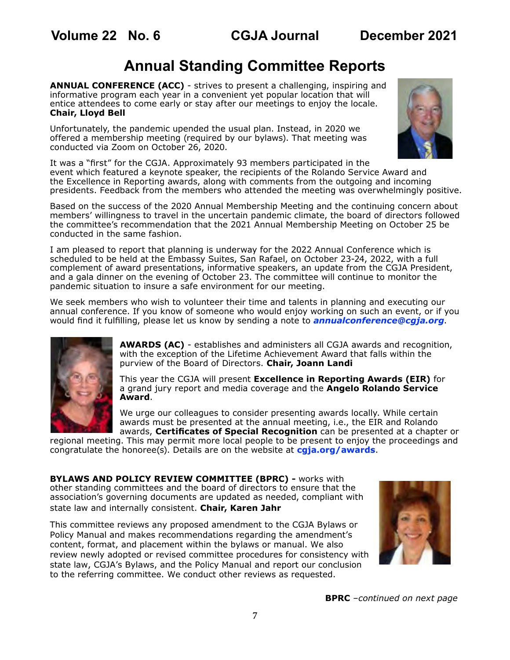## <span id="page-6-0"></span>**Annual Standing Committee Reports**

**ANNUAL CONFERENCE (ACC)** - strives to present a challenging, inspiring and informative program each year in a convenient yet popular location that will entice attendees to come early or stay after our meetings to enjoy the locale. **Chair, Lloyd Bell**

Unfortunately, the pandemic upended the usual plan. Instead, in 2020 we offered a membership meeting (required by our bylaws). That meeting was conducted via Zoom on October 26, 2020.



It was a "first" for the CGJA. Approximately 93 members participated in the event which featured a keynote speaker, the recipients of the Rolando Service Award and the Excellence in Reporting awards, along with comments from the outgoing and incoming presidents. Feedback from the members who attended the meeting was overwhelmingly positive.

Based on the success of the 2020 Annual Membership Meeting and the continuing concern about members' willingness to travel in the uncertain pandemic climate, the board of directors followed the committee's recommendation that the 2021 Annual Membership Meeting on October 25 be conducted in the same fashion.

I am pleased to report that planning is underway for the 2022 Annual Conference which is scheduled to be held at the Embassy Suites, San Rafael, on October 23-24, 2022, with a full complement of award presentations, informative speakers, an update from the CGJA President, and a gala dinner on the evening of October 23. The committee will continue to monitor the pandemic situation to insure a safe environment for our meeting.

We seek members who wish to volunteer their time and talents in planning and executing our annual conference. If you know of someone who would enjoy working on such an event, or if you would find it fulfilling, please let us know by sending a note to *[annualconference@cgja.org](mailto:annualconference%40cgja.org?subject=CGJA%20annual%20conference)*.



**AWARDS (AC)** - establishes and administers all CGJA awards and recognition, with the exception of the Lifetime Achievement Award that falls within the purview of the Board of Directors. **Chair, Joann Landi**

This year the CGJA will present **Excellence in Reporting Awards (EIR)** for a grand jury report and media coverage and the **Angelo Rolando Service Award**.

We urge our colleagues to consider presenting awards locally. While certain awards must be presented at the annual meeting, i.e., the EIR and Rolando awards, **Certificates of Special Recognition** can be presented at a chapter or

regional meeting. This may permit more local people to be present to enjoy the proceedings and congratulate the honoree(s). Details are on the website at **[cgja.org/awards](https://cgja.org/awards)**.

**BYLAWS AND POLICY REVIEW COMMITTEE (BPRC) - works with** other standing committees and the board of directors to ensure that the association's governing documents are updated as needed, compliant with state law and internally consistent. **Chair, Karen Jahr**

This committee reviews any proposed amendment to the CGJA Bylaws or Policy Manual and makes recommendations regarding the amendment's content, format, and placement within the bylaws or manual. We also review newly adopted or revised committee procedures for consistency with state law, CGJA's Bylaws, and the Policy Manual and report our conclusion to the referring committee. We conduct other reviews as requested.



**BPRC** *–continued on next page*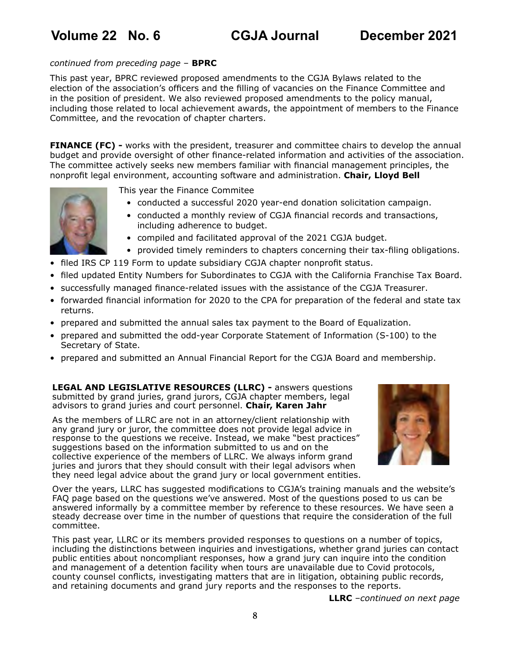### *continued from preceding page* – **BPRC**

This past year, BPRC reviewed proposed amendments to the CGJA Bylaws related to the election of the association's officers and the filling of vacancies on the Finance Committee and in the position of president. We also reviewed proposed amendments to the policy manual, including those related to local achievement awards, the appointment of members to the Finance Committee, and the revocation of chapter charters.

**FINANCE (FC) -** works with the president, treasurer and committee chairs to develop the annual budget and provide oversight of other finance-related information and activities of the association. The committee actively seeks new members familiar with financial management principles, the nonprofit legal environment, accounting software and administration. **Chair, Lloyd Bell**



• conducted a successful 2020 year-end donation solicitation campaign.

- conducted a monthly review of CGJA financial records and transactions, including adherence to budget.
- compiled and facilitated approval of the 2021 CGJA budget.
- provided timely reminders to chapters concerning their tax-filing obligations.
- filed IRS CP 119 Form to update subsidiary CGJA chapter nonprofit status.
- filed updated Entity Numbers for Subordinates to CGJA with the California Franchise Tax Board.
- successfully managed finance-related issues with the assistance of the CGJA Treasurer.
- forwarded financial information for 2020 to the CPA for preparation of the federal and state tax returns.
- prepared and submitted the annual sales tax payment to the Board of Equalization.
- prepared and submitted the odd-year Corporate Statement of Information (S-100) to the Secretary of State.
- prepared and submitted an Annual Financial Report for the CGJA Board and membership.

**LEGAL AND LEGISLATIVE RESOURCES (LLRC) -** answers questions submitted by grand juries, grand jurors, CGJA chapter members, legal advisors to grand juries and court personnel. **Chair, Karen Jahr**

As the members of LLRC are not in an attorney/client relationship with any grand jury or juror, the committee does not provide legal advice in response to the questions we receive. Instead, we make "best practices" suggestions based on the information submitted to us and on the collective experience of the members of LLRC. We always inform grand juries and jurors that they should consult with their legal advisors when they need legal advice about the grand jury or local government entities.



Over the years, LLRC has suggested modifications to CGJA's training manuals and the website's FAQ page based on the questions we've answered. Most of the questions posed to us can be answered informally by a committee member by reference to these resources. We have seen a steady decrease over time in the number of questions that require the consideration of the full committee.

This past year, LLRC or its members provided responses to questions on a number of topics, including the distinctions between inquiries and investigations, whether grand juries can contact public entities about noncompliant responses, how a grand jury can inquire into the condition and management of a detention facility when tours are unavailable due to Covid protocols, county counsel conflicts, investigating matters that are in litigation, obtaining public records, and retaining documents and grand jury reports and the responses to the reports.

**LLRC** *–continued on next page*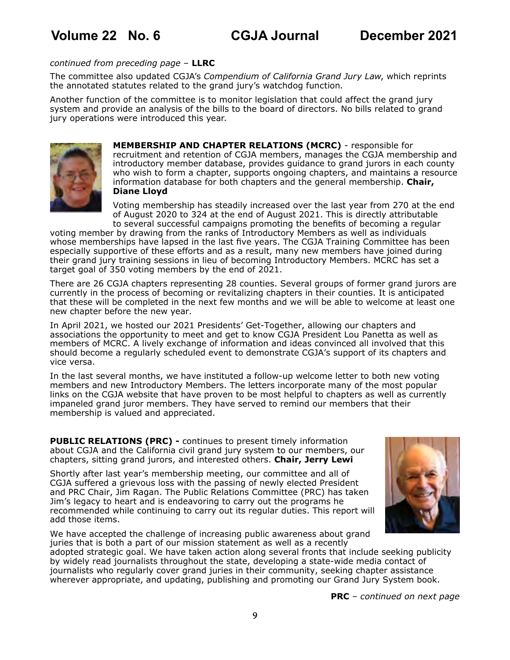#### *continued from preceding page* – **LLRC**

The committee also updated CGJA's *Compendium of California Grand Jury Law*, which reprints the annotated statutes related to the grand jury's watchdog function.

Another function of the committee is to monitor legislation that could affect the grand jury system and provide an analysis of the bills to the board of directors. No bills related to grand jury operations were introduced this year.



**MEMBERSHIP AND CHAPTER RELATIONS (MCRC)** - responsible for recruitment and retention of CGJA members, manages the CGJA membership and introductory member database, provides guidance to grand jurors in each county who wish to form a chapter, supports ongoing chapters, and maintains a resource information database for both chapters and the general membership. **Chair, Diane Lloyd**

Voting membership has steadily increased over the last year from 270 at the end of August 2020 to 324 at the end of August 2021. This is directly attributable to several successful campaigns promoting the benefits of becoming a regular

voting member by drawing from the ranks of Introductory Members as well as individuals whose memberships have lapsed in the last five years. The CGJA Training Committee has been especially supportive of these efforts and as a result, many new members have joined during their grand jury training sessions in lieu of becoming Introductory Members. MCRC has set a target goal of 350 voting members by the end of 2021.

There are 26 CGJA chapters representing 28 counties. Several groups of former grand jurors are currently in the process of becoming or revitalizing chapters in their counties. It is anticipated that these will be completed in the next few months and we will be able to welcome at least one new chapter before the new year.

In April 2021, we hosted our 2021 Presidents' Get-Together, allowing our chapters and associations the opportunity to meet and get to know CGJA President Lou Panetta as well as members of MCRC. A lively exchange of information and ideas convinced all involved that this should become a regularly scheduled event to demonstrate CGJA's support of its chapters and vice versa.

In the last several months, we have instituted a follow-up welcome letter to both new voting members and new Introductory Members. The letters incorporate many of the most popular links on the CGJA website that have proven to be most helpful to chapters as well as currently impaneled grand juror members. They have served to remind our members that their membership is valued and appreciated.

**PUBLIC RELATIONS (PRC) - continues to present timely information** about CGJA and the California civil grand jury system to our members, our chapters, sitting grand jurors, and interested others. **Chair, Jerry Lewi**

Shortly after last year's membership meeting, our committee and all of CGJA suffered a grievous loss with the passing of newly elected President and PRC Chair, Jim Ragan. The Public Relations Committee (PRC) has taken Jim's legacy to heart and is endeavoring to carry out the programs he recommended while continuing to carry out its regular duties. This report will add those items.



We have accepted the challenge of increasing public awareness about grand juries that is both a part of our mission statement as well as a recently

adopted strategic goal. We have taken action along several fronts that include seeking publicity by widely read journalists throughout the state, developing a state-wide media contact of journalists who regularly cover grand juries in their community, seeking chapter assistance wherever appropriate, and updating, publishing and promoting our Grand Jury System book.

**PRC** *– continued on next page*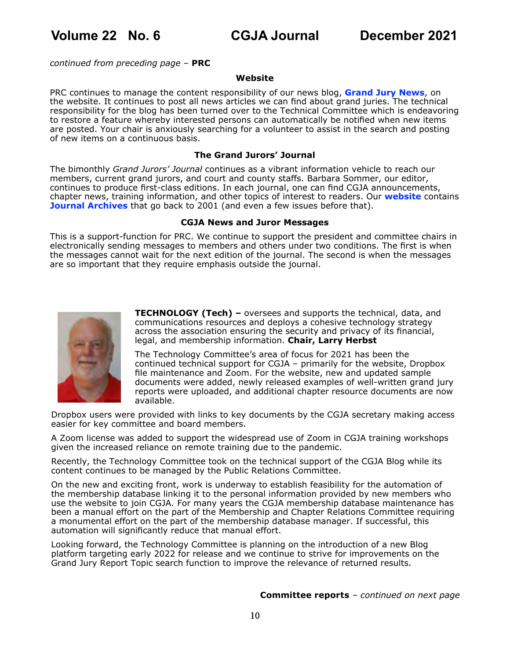*continued from preceding page* – **PRC**

### **Website**

PRC continues to manage the content responsibility of our news blog, **[Grand Jury News](https://cgja.blogspot.com/)**, on the website. It continues to post all news articles we can find about grand juries. The technical responsibility for the blog has been turned over to the Technical Committee which is endeavoring to restore a feature whereby interested persons can automatically be notified when new items are posted. Your chair is anxiously searching for a volunteer to assist in the search and posting of new items on a continuous basis.

#### **The Grand Jurors' Journal**

The bimonthly *Grand Jurors' Journal* continues as a vibrant information vehicle to reach our members, current grand jurors, and court and county staffs. Barbara Sommer, our editor, continues to produce first-class editions. In each journal, one can find CGJA announcements, chapter news, training information, and other topics of interest to readers. Our **[website](https://cgja.org/)** contains **[Journal Archives](http://cgja.org/archives)** that go back to 2001 (and even a few issues before that).

#### **CGJA News and Juror Messages**

This is a support-function for PRC. We continue to support the president and committee chairs in electronically sending messages to members and others under two conditions. The first is when the messages cannot wait for the next edition of the journal. The second is when the messages are so important that they require emphasis outside the journal.



**TECHNOLOGY (Tech) –** oversees and supports the technical, data, and communications resources and deploys a cohesive technology strategy across the association ensuring the security and privacy of its financial, legal, and membership information. **Chair, Larry Herbst**

The Technology Committee's area of focus for 2021 has been the continued technical support for CGJA – primarily for the website, Dropbox file maintenance and Zoom. For the website, new and updated sample documents were added, newly released examples of well-written grand jury reports were uploaded, and additional chapter resource documents are now available.

Dropbox users were provided with links to key documents by the CGJA secretary making access easier for key committee and board members.

A Zoom license was added to support the widespread use of Zoom in CGJA training workshops given the increased reliance on remote training due to the pandemic.

Recently, the Technology Committee took on the technical support of the CGJA Blog while its content continues to be managed by the Public Relations Committee.

On the new and exciting front, work is underway to establish feasibility for the automation of the membership database linking it to the personal information provided by new members who use the website to join CGJA. For many years the CGJA membership database maintenance has been a manual effort on the part of the Membership and Chapter Relations Committee requiring a monumental effort on the part of the membership database manager. If successful, this automation will significantly reduce that manual effort.

Looking forward, the Technology Committee is planning on the introduction of a new Blog platform targeting early 2022 for release and we continue to strive for improvements on the Grand Jury Report Topic search function to improve the relevance of returned results.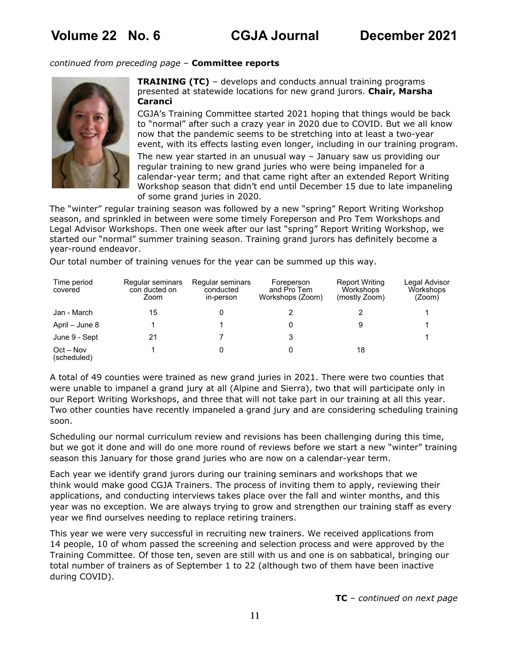#### *continued from preceding page* – **Committee reports**



**TRAINING (TC)** – develops and conducts annual training programs presented at statewide locations for new grand jurors. **Chair, Marsha Caranci**

CGJA's Training Committee started 2021 hoping that things would be back to "normal" after such a crazy year in 2020 due to COVID. But we all know now that the pandemic seems to be stretching into at least a two-year event, with its effects lasting even longer, including in our training program.

The new year started in an unusual way – January saw us providing our regular training to new grand juries who were being impaneled for a calendar-year term; and that came right after an extended Report Writing Workshop season that didn't end until December 15 due to late impaneling of some grand juries in 2020.

The "winter" regular training season was followed by a new "spring" Report Writing Workshop season, and sprinkled in between were some timely Foreperson and Pro Tem Workshops and Legal Advisor Workshops. Then one week after our last "spring" Report Writing Workshop, we started our "normal" summer training season. Training grand jurors has definitely become a year-round endeavor.

Our total number of training venues for the year can be summed up this way.

| Time period<br>covered     | Regular seminars<br>con ducted on<br>Zoom | Regular seminars<br>conducted<br>in-person | Foreperson<br>and Pro Tem<br>Workshops (Zoom) | <b>Report Writing</b><br>Workshops<br>(mostly Zoom) | Legal Advisor<br>Workshops<br>(Zoom) |
|----------------------------|-------------------------------------------|--------------------------------------------|-----------------------------------------------|-----------------------------------------------------|--------------------------------------|
| Jan - March                | 15                                        |                                            |                                               |                                                     |                                      |
| April – June 8             |                                           |                                            |                                               | 9                                                   |                                      |
| June 9 - Sept              | 21                                        |                                            |                                               |                                                     |                                      |
| $Oct - Nov$<br>(scheduled) |                                           |                                            |                                               | 18                                                  |                                      |

A total of 49 counties were trained as new grand juries in 2021. There were two counties that were unable to impanel a grand jury at all (Alpine and Sierra), two that will participate only in our Report Writing Workshops, and three that will not take part in our training at all this year. Two other counties have recently impaneled a grand jury and are considering scheduling training soon.

Scheduling our normal curriculum review and revisions has been challenging during this time, but we got it done and will do one more round of reviews before we start a new "winter" training season this January for those grand juries who are now on a calendar-year term.

Each year we identify grand jurors during our training seminars and workshops that we think would make good CGJA Trainers. The process of inviting them to apply, reviewing their applications, and conducting interviews takes place over the fall and winter months, and this year was no exception. We are always trying to grow and strengthen our training staff as every year we find ourselves needing to replace retiring trainers.

This year we were very successful in recruiting new trainers. We received applications from 14 people, 10 of whom passed the screening and selection process and were approved by the Training Committee. Of those ten, seven are still with us and one is on sabbatical, bringing our total number of trainers as of September 1 to 22 (although two of them have been inactive during COVID).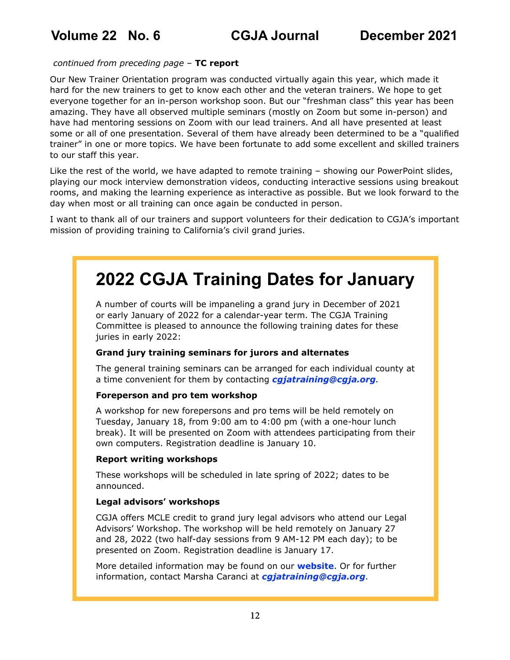### *continued from preceding page* – **TC report**

Our New Trainer Orientation program was conducted virtually again this year, which made it hard for the new trainers to get to know each other and the veteran trainers. We hope to get everyone together for an in-person workshop soon. But our "freshman class" this year has been amazing. They have all observed multiple seminars (mostly on Zoom but some in-person) and have had mentoring sessions on Zoom with our lead trainers. And all have presented at least some or all of one presentation. Several of them have already been determined to be a "qualified trainer" in one or more topics. We have been fortunate to add some excellent and skilled trainers to our staff this year.

Like the rest of the world, we have adapted to remote training – showing our PowerPoint slides, playing our mock interview demonstration videos, conducting interactive sessions using breakout rooms, and making the learning experience as interactive as possible. But we look forward to the day when most or all training can once again be conducted in person.

I want to thank all of our trainers and support volunteers for their dedication to CGJA's important mission of providing training to California's civil grand juries.

# <span id="page-11-0"></span>**2022 CGJA Training Dates for January**

A number of courts will be impaneling a grand jury in December of 2021 or early January of 2022 for a calendar-year term. The CGJA Training Committee is pleased to announce the following training dates for these juries in early 2022:

### **Grand jury training seminars for jurors and alternates**

The general training seminars can be arranged for each individual county at a time convenient for them by contacting *[cgjatraining@cgja.org](mailto:cgjatraining%40cgja.org?subject=Grand%20Jury%20training)*.

### **Foreperson and pro tem workshop**

A workshop for new forepersons and pro tems will be held remotely on Tuesday, January 18, from 9:00 am to 4:00 pm (with a one-hour lunch break). It will be presented on Zoom with attendees participating from their own computers. Registration deadline is January 10.

### **Report writing workshops**

These workshops will be scheduled in late spring of 2022; dates to be announced.

### **Legal advisors' workshops**

CGJA offers MCLE credit to grand jury legal advisors who attend our Legal Advisors' Workshop. The workshop will be held remotely on January 27 and 28, 2022 (two half-day sessions from 9 AM-12 PM each day); to be presented on Zoom. Registration deadline is January 17.

More detailed information may be found on our **[website](https://cgja.org/training-general-information)**. Or for further information, contact Marsha Caranci at *[cgjatraining@cgja.org](mailto:cgjatraining%40cgja.org?subject=)*.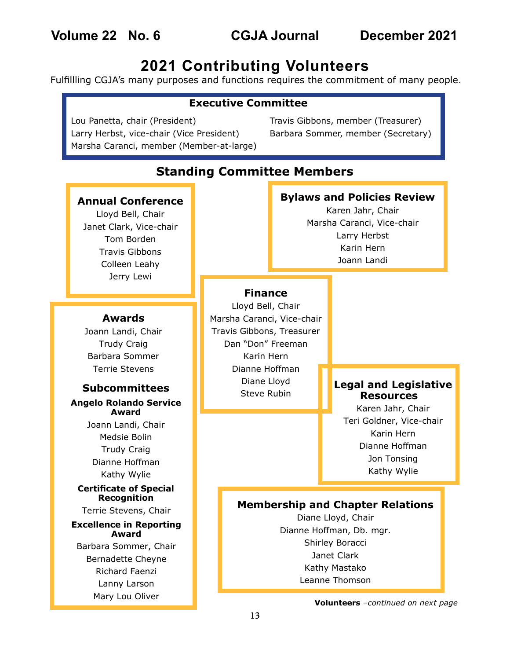## **2021 Contributing Volunteers**

Fulfillling CGJA's many purposes and functions requires the commitment of many people.

### <span id="page-12-0"></span>**Executive Committee**

Lou Panetta, chair (President) Larry Herbst, vice-chair (Vice President) Marsha Caranci, member (Member-at-large)

Travis Gibbons, member (Treasurer) Barbara Sommer, member (Secretary)

| <b>Standing Committee Members</b>                                                                                                |  |                                                                                                                                                                |                                                                                                                                   |                                                                                        |  |  |  |  |
|----------------------------------------------------------------------------------------------------------------------------------|--|----------------------------------------------------------------------------------------------------------------------------------------------------------------|-----------------------------------------------------------------------------------------------------------------------------------|----------------------------------------------------------------------------------------|--|--|--|--|
| <b>Annual Conference</b><br>Lloyd Bell, Chair<br>Janet Clark, Vice-chair<br>Tom Borden<br><b>Travis Gibbons</b><br>Colleen Leahy |  |                                                                                                                                                                | <b>Bylaws and Policies Review</b><br>Karen Jahr, Chair<br>Marsha Caranci, Vice-chair<br>Larry Herbst<br>Karin Hern<br>Joann Landi |                                                                                        |  |  |  |  |
| Jerry Lewi                                                                                                                       |  | <b>Finance</b>                                                                                                                                                 |                                                                                                                                   |                                                                                        |  |  |  |  |
| <b>Awards</b><br>Joann Landi, Chair<br><b>Trudy Craig</b><br>Barbara Sommer                                                      |  | Lloyd Bell, Chair<br>Marsha Caranci, Vice-chair<br>Travis Gibbons, Treasurer<br>Dan "Don" Freeman<br>Karin Hern                                                |                                                                                                                                   |                                                                                        |  |  |  |  |
| <b>Terrie Stevens</b><br><b>Subcommittees</b><br><b>Angelo Rolando Service</b><br>Award                                          |  | Dianne Hoffman<br>Diane Lloyd<br>Steve Rubin                                                                                                                   |                                                                                                                                   | <b>Legal and Legislative</b><br><b>Resources</b><br>Karen Jahr, Chair                  |  |  |  |  |
| Joann Landi, Chair<br>Medsie Bolin<br><b>Trudy Craig</b><br>Dianne Hoffman                                                       |  |                                                                                                                                                                |                                                                                                                                   | Teri Goldner, Vice-chair<br>Karin Hern<br>Dianne Hoffman<br>Jon Tonsing<br>Kathy Wylie |  |  |  |  |
| Kathy Wylie<br><b>Certificate of Special</b><br><b>Recognition</b>                                                               |  |                                                                                                                                                                |                                                                                                                                   |                                                                                        |  |  |  |  |
| Terrie Stevens, Chair<br><b>Excellence in Reporting</b><br>Award                                                                 |  | <b>Membership and Chapter Relations</b><br>Diane Lloyd, Chair<br>Dianne Hoffman, Db. mgr.<br>Shirley Boracci<br>Janet Clark<br>Kathy Mastako<br>Leanne Thomson |                                                                                                                                   |                                                                                        |  |  |  |  |
| Barbara Sommer, Chair<br><b>Bernadette Cheyne</b><br><b>Richard Faenzi</b><br>Lanny Larson                                       |  |                                                                                                                                                                |                                                                                                                                   |                                                                                        |  |  |  |  |
| Mary Lou Oliver                                                                                                                  |  | Volunteers -continued on next page                                                                                                                             |                                                                                                                                   |                                                                                        |  |  |  |  |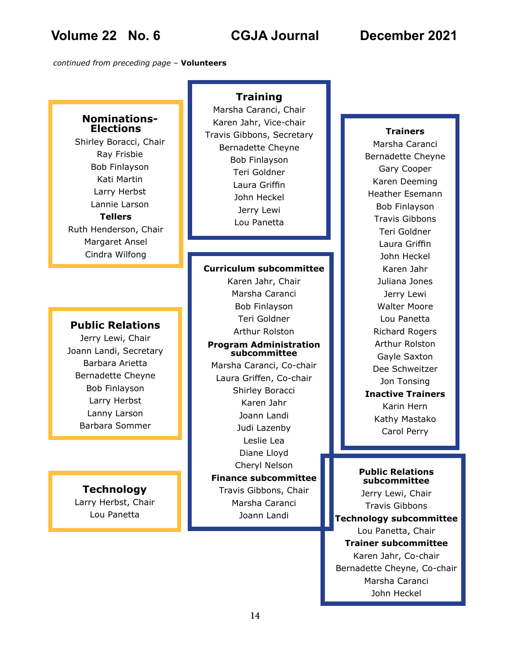*continued from preceding page* – **Volunteers**

### **Nominations-Elections**

Shirley Boracci, Chair Ray Frisbie Bob Finlayson Kati Martin Larry Herbst Lannie Larson **Tellers** Ruth Henderson, Chair Margaret Ansel Cindra Wilfong

### **Public Relations**

Jerry Lewi, Chair Joann Landi, Secretary Barbara Arietta Bernadette Cheyne Bob Finlayson Larry Herbst Lanny Larson Barbara Sommer

### **Technology**

Larry Herbst, Chair Lou Panetta

### **Training**

Marsha Caranci, Chair Karen Jahr, Vice-chair Travis Gibbons, Secretary Bernadette Cheyne Bob Finlayson Teri Goldner Laura Griffin John Heckel Jerry Lewi Lou Panetta

#### **Curriculum subcommittee**

Karen Jahr, Chair Marsha Caranci Bob Finlayson Teri Goldner Arthur Rolston **Program Administration subcommittee**

Marsha Caranci, Co-chair Laura Griffen, Co-chair Shirley Boracci Karen Jahr Joann Landi Judi Lazenby Leslie Lea Diane Lloyd Cheryl Nelson **Finance subcommittee** Travis Gibbons, Chair Marsha Caranci Joann Landi

### **Trainers**

Marsha Caranci Bernadette Cheyne Gary Cooper Karen Deeming Heather Esemann Bob Finlayson Travis Gibbons Teri Goldner Laura Griffin John Heckel Karen Jahr Juliana Jones Jerry Lewi Walter Moore Lou Panetta Richard Rogers Arthur Rolston Gayle Saxton Dee Schweitzer Jon Tonsing **Inactive Trainers** Karin Hern Kathy Mastako Carol Perry

#### **Public Relations subcommittee**

Jerry Lewi, Chair Travis Gibbons **Technology subcommittee** Lou Panetta, Chair **Trainer subcommittee** Karen Jahr, Co-chair Bernadette Cheyne, Co-chair Marsha Caranci John Heckel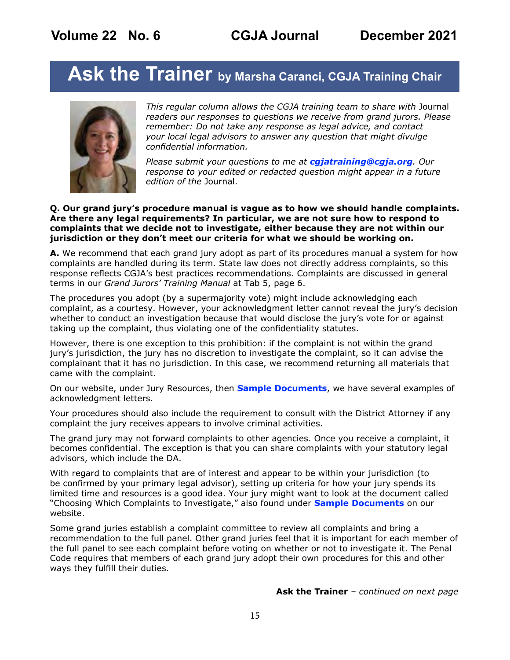# <span id="page-14-0"></span>**Ask the Trainer by Marsha Caranci, CGJA Training Chair**



*This regular column allows the CGJA training team to share with* Journal *readers our responses to questions we receive from grand jurors. Please remember: Do not take any response as legal advice, and contact your local legal advisors to answer any question that might divulge confidential information.* 

*Please submit your questions to me at [cgjatraining@cgja.org](mailto:cgjatraining%40cgja.org?subject=CGJA%20Training). Our response to your edited or redacted question might appear in a future edition of the* Journal.

#### **Q. Our grand jury's procedure manual is vague as to how we should handle complaints. Are there any legal requirements? In particular, we are not sure how to respond to complaints that we decide not to investigate, either because they are not within our jurisdiction or they don't meet our criteria for what we should be working on.**

**A.** We recommend that each grand jury adopt as part of its procedures manual a system for how complaints are handled during its term. State law does not directly address complaints, so this response reflects CGJA's best practices recommendations. Complaints are discussed in general terms in our *Grand Jurors' Training Manual* at Tab 5, page 6.

The procedures you adopt (by a supermajority vote) might include acknowledging each complaint, as a courtesy. However, your acknowledgment letter cannot reveal the jury's decision whether to conduct an investigation because that would disclose the jury's vote for or against taking up the complaint, thus violating one of the confidentiality statutes.

However, there is one exception to this prohibition: if the complaint is not within the grand jury's jurisdiction, the jury has no discretion to investigate the complaint, so it can advise the complainant that it has no jurisdiction. In this case, we recommend returning all materials that came with the complaint.

On our website, under Jury Resources, then **[Sample Documents](https://cgja.org/sample-documents)**, we have several examples of acknowledgment letters.

Your procedures should also include the requirement to consult with the District Attorney if any complaint the jury receives appears to involve criminal activities.

The grand jury may not forward complaints to other agencies. Once you receive a complaint, it becomes confidential. The exception is that you can share complaints with your statutory legal advisors, which include the DA.

With regard to complaints that are of interest and appear to be within your jurisdiction (to be confirmed by your primary legal advisor), setting up criteria for how your jury spends its limited time and resources is a good idea. Your jury might want to look at the document called "Choosing Which Complaints to Investigate," also found under **[Sample Documents](https://cgja.org/sample-documents)** on our website.

Some grand juries establish a complaint committee to review all complaints and bring a recommendation to the full panel. Other grand juries feel that it is important for each member of the full panel to see each complaint before voting on whether or not to investigate it. The Penal Code requires that members of each grand jury adopt their own procedures for this and other ways they fulfill their duties.

**Ask the Trainer** *– continued on next page*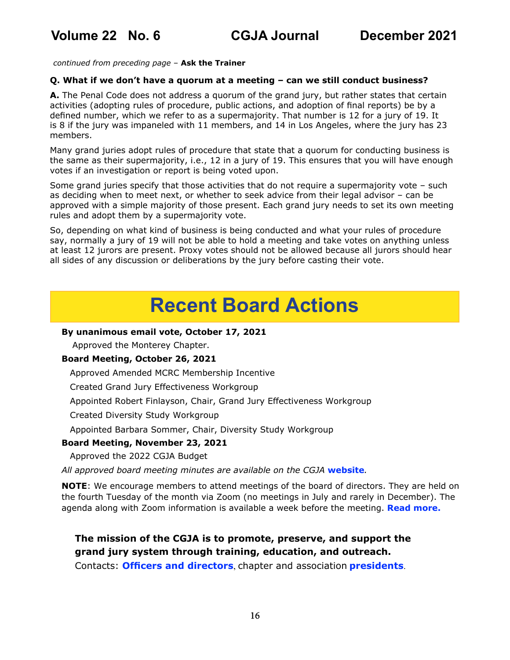*continued from preceding page* – **Ask the Trainer**

### **Q. What if we don't have a quorum at a meeting – can we still conduct business?**

**A.** The Penal Code does not address a quorum of the grand jury, but rather states that certain activities (adopting rules of procedure, public actions, and adoption of final reports) be by a defined number, which we refer to as a supermajority. That number is 12 for a jury of 19. It is 8 if the jury was impaneled with 11 members, and 14 in Los Angeles, where the jury has 23 members.

Many grand juries adopt rules of procedure that state that a quorum for conducting business is the same as their supermajority, i.e., 12 in a jury of 19. This ensures that you will have enough votes if an investigation or report is being voted upon.

Some grand juries specify that those activities that do not require a supermajority vote – such as deciding when to meet next, or whether to seek advice from their legal advisor – can be approved with a simple majority of those present. Each grand jury needs to set its own meeting rules and adopt them by a supermajority vote.

So, depending on what kind of business is being conducted and what your rules of procedure say, normally a jury of 19 will not be able to hold a meeting and take votes on anything unless at least 12 jurors are present. Proxy votes should not be allowed because all jurors should hear all sides of any discussion or deliberations by the jury before casting their vote.

# **Recent Board Actions**

### **By unanimous email vote, October 17, 2021**

Approved the Monterey Chapter.

### **Board Meeting, October 26, 2021**

Approved Amended MCRC Membership Incentive

Created Grand Jury Effectiveness Workgroup

Appointed Robert Finlayson, Chair, Grand Jury Effectiveness Workgroup

Created Diversity Study Workgroup

Appointed Barbara Sommer, Chair, Diversity Study Workgroup

### **Board Meeting, November 23, 2021**

Approved the 2022 CGJA Budget

*All approved board meeting minutes are available on the CGJA* **[website](https://cgja.org/board-minutes)***.*

**NOTE:** We encourage members to attend meetings of the board of directors. They are held on the fourth Tuesday of the month via Zoom (no meetings in July and rarely in December). The agenda along with Zoom information is available a week before the meeting. **[Read more.](https://cgja.org/current-agenda)**

### **The mission of the CGJA is to promote, preserve, and support the grand jury system through training, education, and outreach.**

Contacts: **[Officers and directors](https://cgja.org/officers-directors)**, chapter and association **[presidents](https://cgja.org/chapters-and-associations)**.